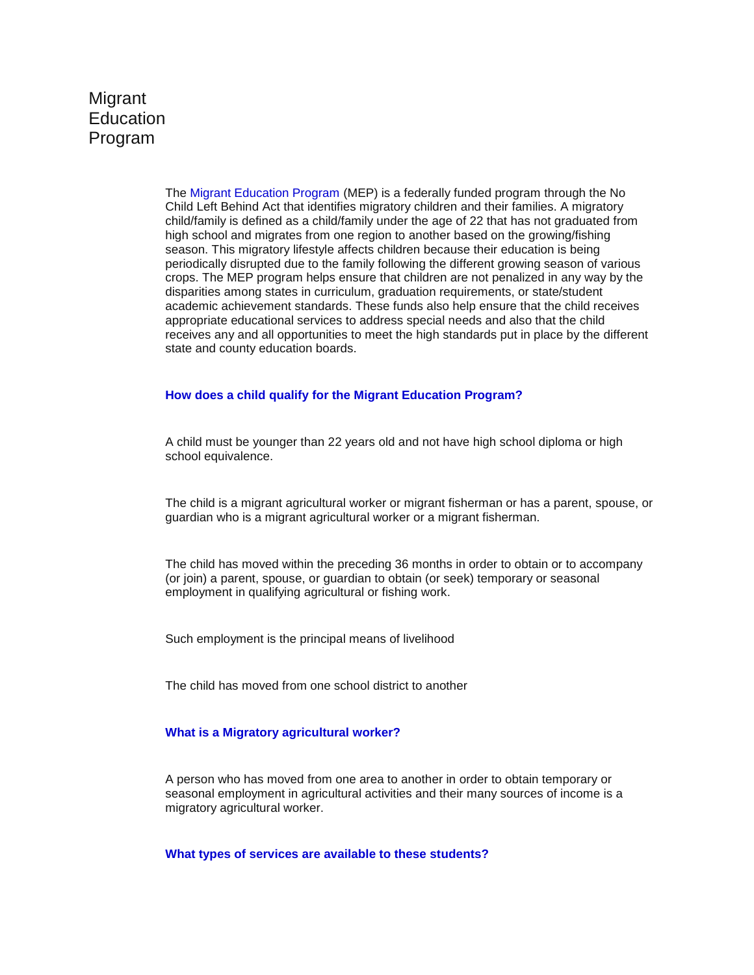# **Migrant** Education Program

The Migrant Education Program (MEP) is a federally funded program through the No Child Left Behind Act that identifies migratory children and their families. A migratory child/family is defined as a child/family under the age of 22 that has not graduated from high school and migrates from one region to another based on the growing/fishing season. This migratory lifestyle affects children because their education is being periodically disrupted due to the family following the different growing season of various crops. The MEP program helps ensure that children are not penalized in any way by the disparities among states in curriculum, graduation requirements, or state/student academic achievement standards. These funds also help ensure that the child receives appropriate educational services to address special needs and also that the child receives any and all opportunities to meet the high standards put in place by the different state and county education boards.

#### **How does a child qualify for the Migrant Education Program?**

A child must be younger than 22 years old and not have high school diploma or high school equivalence.

The child is a migrant agricultural worker or migrant fisherman or has a parent, spouse, or guardian who is a migrant agricultural worker or a migrant fisherman.

The child has moved within the preceding 36 months in order to obtain or to accompany (or join) a parent, spouse, or guardian to obtain (or seek) temporary or seasonal employment in qualifying agricultural or fishing work.

Such employment is the principal means of livelihood

The child has moved from one school district to another

#### **What is a Migratory agricultural worker?**

A person who has moved from one area to another in order to obtain temporary or seasonal employment in agricultural activities and their many sources of income is a migratory agricultural worker.

**What types of services are available to these students?**